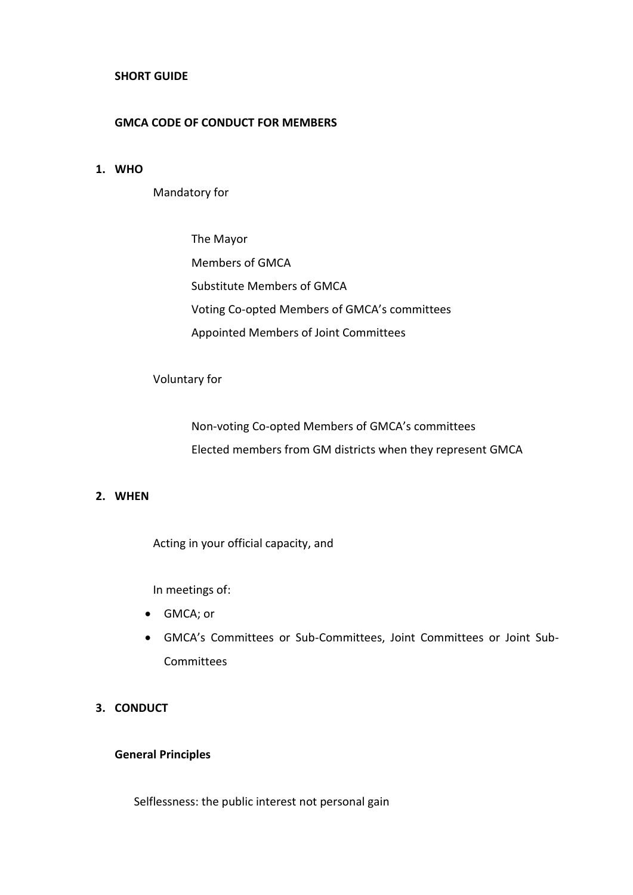### **SHORT GUIDE**

# **GMCA CODE OF CONDUCT FOR MEMBERS**

# **1. WHO**

Mandatory for

The Mayor Members of GMCA Substitute Members of GMCA Voting Co-opted Members of GMCA's committees Appointed Members of Joint Committees

Voluntary for

Non-voting Co-opted Members of GMCA's committees Elected members from GM districts when they represent GMCA

# **2. WHEN**

Acting in your official capacity, and

In meetings of:

- GMCA; or
- GMCA's Committees or Sub-Committees, Joint Committees or Joint Sub-**Committees**
- **3. CONDUCT**

#### **General Principles**

Selflessness: the public interest not personal gain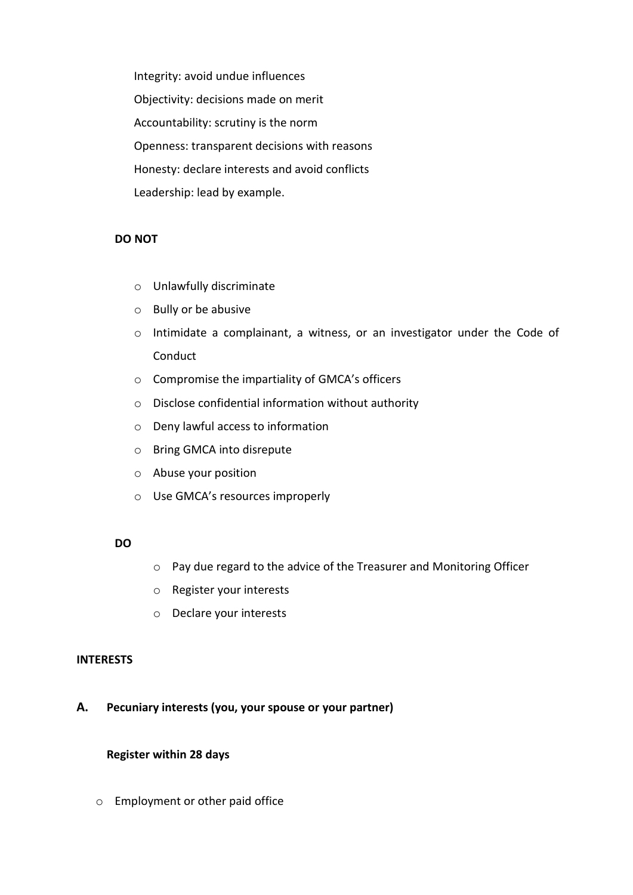Integrity: avoid undue influences Objectivity: decisions made on merit Accountability: scrutiny is the norm Openness: transparent decisions with reasons Honesty: declare interests and avoid conflicts Leadership: lead by example.

# **DO NOT**

- o Unlawfully discriminate
- o Bully or be abusive
- o Intimidate a complainant, a witness, or an investigator under the Code of Conduct
- o Compromise the impartiality of GMCA's officers
- o Disclose confidential information without authority
- o Deny lawful access to information
- o Bring GMCA into disrepute
- o Abuse your position
- o Use GMCA's resources improperly

### **DO**

- o Pay due regard to the advice of the Treasurer and Monitoring Officer
- o Register your interests
- o Declare your interests

#### **INTERESTS**

**A. Pecuniary interests (you, your spouse or your partner)**

#### **Register within 28 days**

o Employment or other paid office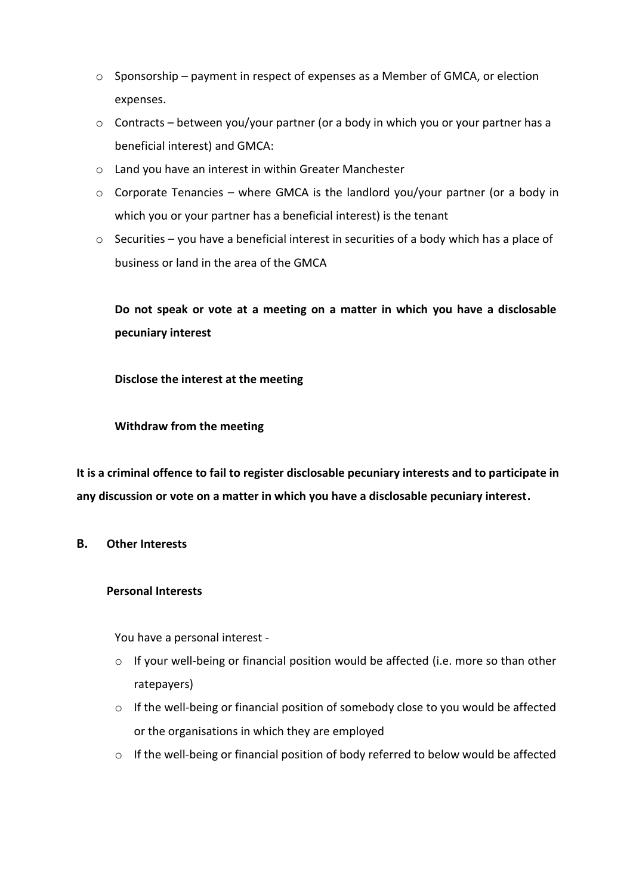- o Sponsorship payment in respect of expenses as a Member of GMCA, or election expenses.
- o Contracts between you/your partner (or a body in which you or your partner has a beneficial interest) and GMCA:
- o Land you have an interest in within Greater Manchester
- $\circ$  Corporate Tenancies where GMCA is the landlord you/your partner (or a body in which you or your partner has a beneficial interest) is the tenant
- o Securities you have a beneficial interest in securities of a body which has a place of business or land in the area of the GMCA

**Do not speak or vote at a meeting on a matter in which you have a disclosable pecuniary interest**

**Disclose the interest at the meeting**

**Withdraw from the meeting**

**It is a criminal offence to fail to register disclosable pecuniary interests and to participate in any discussion or vote on a matter in which you have a disclosable pecuniary interest.**

# **B. Other Interests**

# **Personal Interests**

You have a personal interest -

- o If your well-being or financial position would be affected (i.e. more so than other ratepayers)
- o If the well-being or financial position of somebody close to you would be affected or the organisations in which they are employed
- o If the well-being or financial position of body referred to below would be affected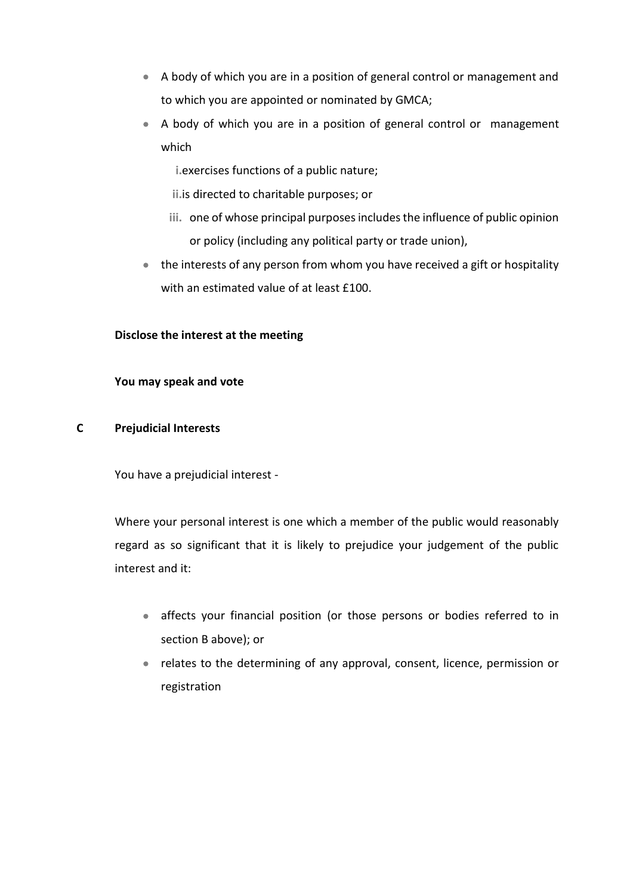- A body of which you are in a position of general control or management and to which you are appointed or nominated by GMCA;
- A body of which you are in a position of general control or management which
	- **i.**exercises functions of a public nature;
	- **ii.**is directed to charitable purposes; or
	- **iii.** one of whose principal purposes includes the influence of public opinion or policy (including any political party or trade union),
- the interests of any person from whom you have received a gift or hospitality with an estimated value of at least £100.

# **Disclose the interest at the meeting**

# **You may speak and vote**

# **C Prejudicial Interests**

You have a prejudicial interest -

Where your personal interest is one which a member of the public would reasonably regard as so significant that it is likely to prejudice your judgement of the public interest and it:

- affects your financial position (or those persons or bodies referred to in section B above); or
- relates to the determining of any approval, consent, licence, permission or registration